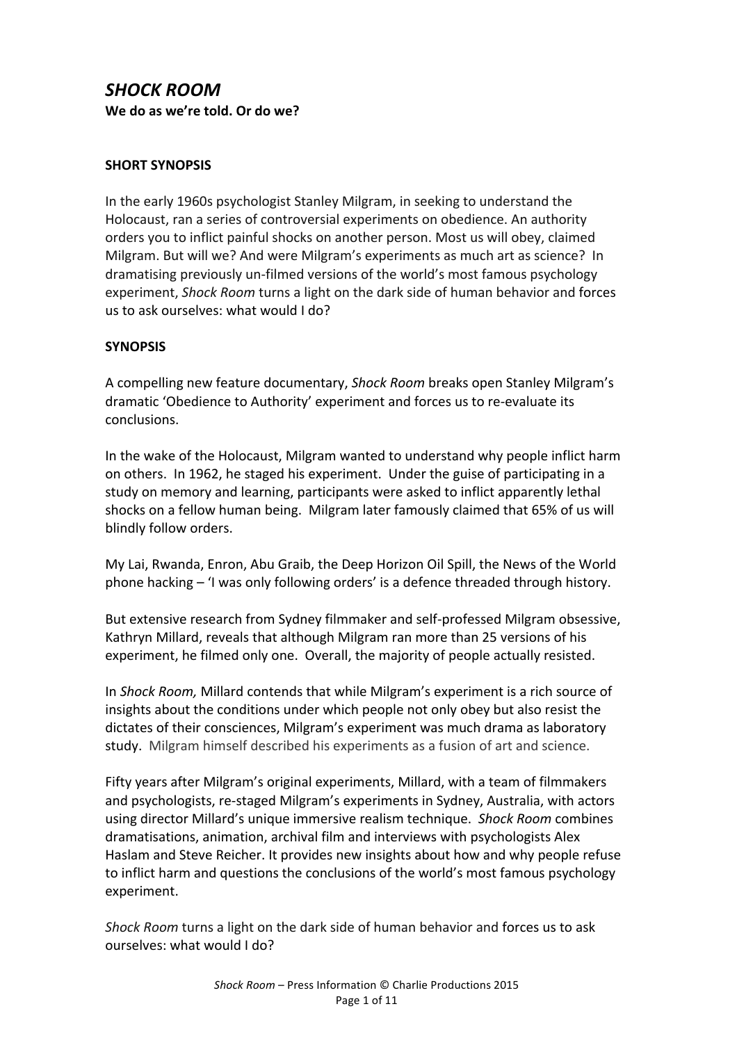# **SHOCK ROOM** We do as we're told. Or do we?

#### **SHORT SYNOPSIS**

In the early 1960s psychologist Stanley Milgram, in seeking to understand the Holocaust, ran a series of controversial experiments on obedience. An authority orders you to inflict painful shocks on another person. Most us will obey, claimed Milgram. But will we? And were Milgram's experiments as much art as science? In dramatising previously un-filmed versions of the world's most famous psychology experiment, *Shock Room* turns a light on the dark side of human behavior and forces us to ask ourselves: what would I do?

#### **SYNOPSIS**

A compelling new feature documentary, *Shock Room* breaks open Stanley Milgram's dramatic 'Obedience to Authority' experiment and forces us to re-evaluate its conclusions. 

In the wake of the Holocaust, Milgram wanted to understand why people inflict harm on others. In 1962, he staged his experiment. Under the guise of participating in a study on memory and learning, participants were asked to inflict apparently lethal shocks on a fellow human being. Milgram later famously claimed that 65% of us will blindly follow orders.

My Lai, Rwanda, Enron, Abu Graib, the Deep Horizon Oil Spill, the News of the World phone hacking - 'I was only following orders' is a defence threaded through history.

But extensive research from Sydney filmmaker and self-professed Milgram obsessive, Kathryn Millard, reveals that although Milgram ran more than 25 versions of his experiment, he filmed only one. Overall, the majority of people actually resisted.

In *Shock Room,* Millard contends that while Milgram's experiment is a rich source of insights about the conditions under which people not only obey but also resist the dictates of their consciences, Milgram's experiment was much drama as laboratory study. Milgram himself described his experiments as a fusion of art and science.

Fifty years after Milgram's original experiments, Millard, with a team of filmmakers and psychologists, re-staged Milgram's experiments in Sydney, Australia, with actors using director Millard's unique immersive realism technique. Shock Room combines dramatisations, animation, archival film and interviews with psychologists Alex Haslam and Steve Reicher. It provides new insights about how and why people refuse to inflict harm and questions the conclusions of the world's most famous psychology experiment.

*Shock Room* turns a light on the dark side of human behavior and forces us to ask ourselves: what would I do?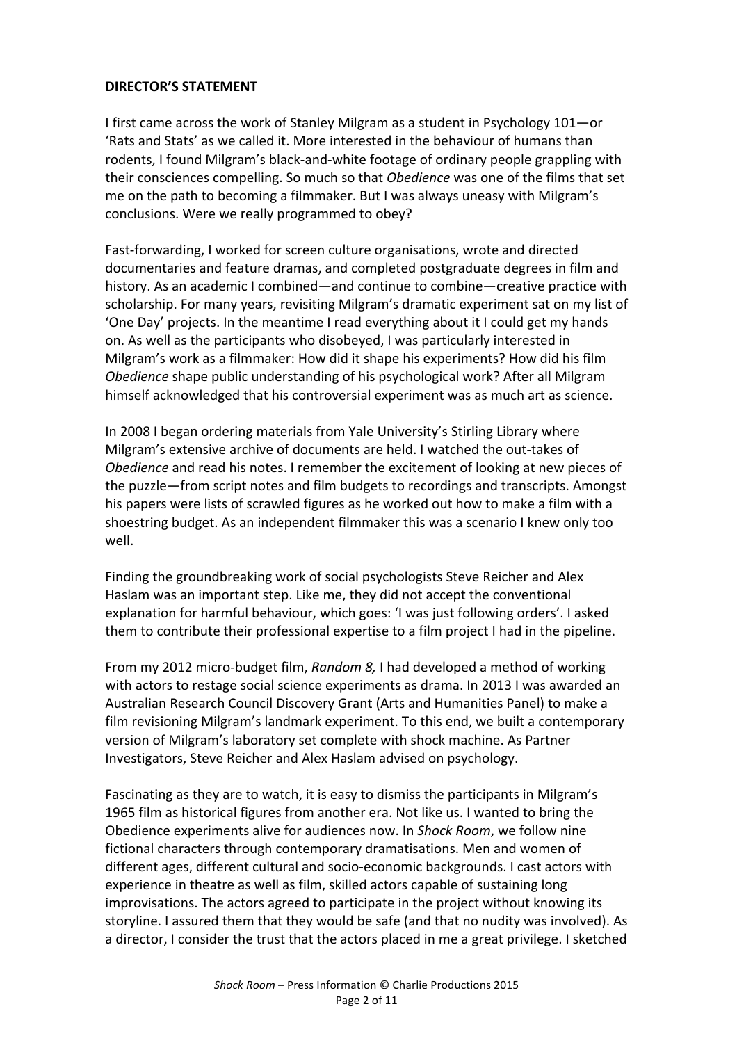#### **DIRECTOR'S STATEMENT**

I first came across the work of Stanley Milgram as a student in Psychology  $101$ —or 'Rats and Stats' as we called it. More interested in the behaviour of humans than rodents, I found Milgram's black-and-white footage of ordinary people grappling with their consciences compelling. So much so that *Obedience* was one of the films that set me on the path to becoming a filmmaker. But I was always uneasy with Milgram's conclusions. Were we really programmed to obey?

Fast-forwarding, I worked for screen culture organisations, wrote and directed documentaries and feature dramas, and completed postgraduate degrees in film and history. As an academic I combined—and continue to combine—creative practice with scholarship. For many years, revisiting Milgram's dramatic experiment sat on my list of 'One Day' projects. In the meantime I read everything about it I could get my hands on. As well as the participants who disobeyed, I was particularly interested in Milgram's work as a filmmaker: How did it shape his experiments? How did his film **Obedience shape public understanding of his psychological work? After all Milgram** himself acknowledged that his controversial experiment was as much art as science.

In 2008 I began ordering materials from Yale University's Stirling Library where Milgram's extensive archive of documents are held. I watched the out-takes of *Obedience* and read his notes. I remember the excitement of looking at new pieces of the puzzle—from script notes and film budgets to recordings and transcripts. Amongst his papers were lists of scrawled figures as he worked out how to make a film with a shoestring budget. As an independent filmmaker this was a scenario I knew only too well. 

Finding the groundbreaking work of social psychologists Steve Reicher and Alex Haslam was an important step. Like me, they did not accept the conventional explanation for harmful behaviour, which goes: 'I was just following orders'. I asked them to contribute their professional expertise to a film project I had in the pipeline.

From my 2012 micro-budget film, Random 8, I had developed a method of working with actors to restage social science experiments as drama. In 2013 I was awarded an Australian Research Council Discovery Grant (Arts and Humanities Panel) to make a film revisioning Milgram's landmark experiment. To this end, we built a contemporary version of Milgram's laboratory set complete with shock machine. As Partner Investigators, Steve Reicher and Alex Haslam advised on psychology.

Fascinating as they are to watch, it is easy to dismiss the participants in Milgram's 1965 film as historical figures from another era. Not like us. I wanted to bring the Obedience experiments alive for audiences now. In *Shock Room*, we follow nine fictional characters through contemporary dramatisations. Men and women of different ages, different cultural and socio-economic backgrounds. I cast actors with experience in theatre as well as film, skilled actors capable of sustaining long improvisations. The actors agreed to participate in the project without knowing its storyline. I assured them that they would be safe (and that no nudity was involved). As a director, I consider the trust that the actors placed in me a great privilege. I sketched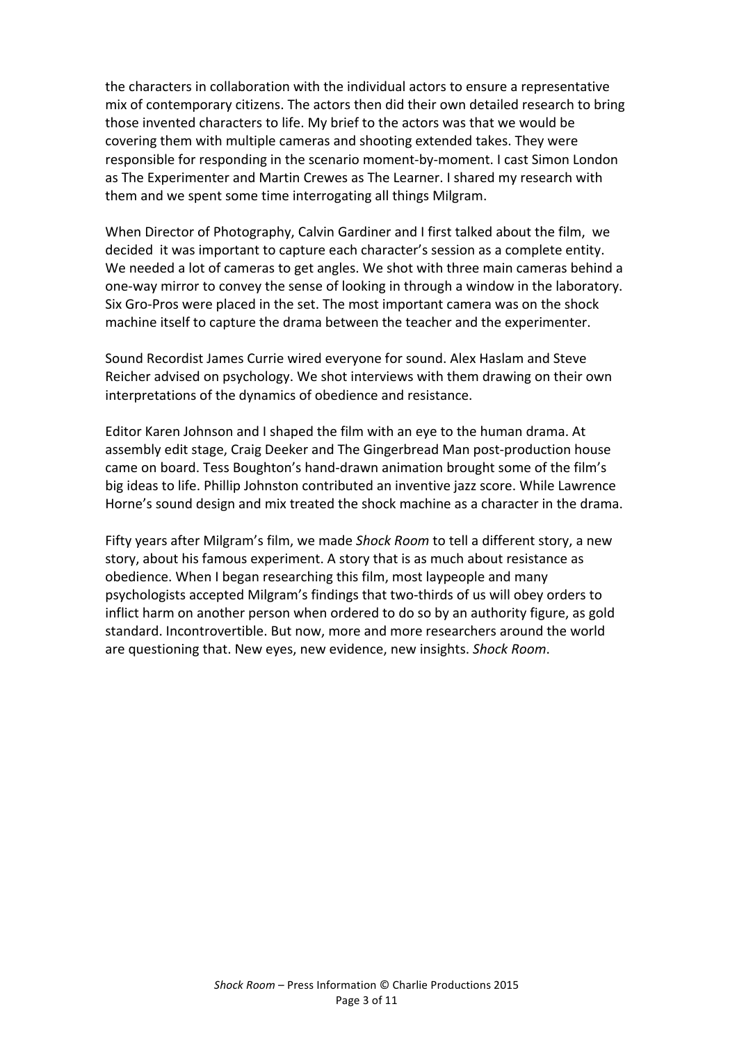the characters in collaboration with the individual actors to ensure a representative mix of contemporary citizens. The actors then did their own detailed research to bring those invented characters to life. My brief to the actors was that we would be covering them with multiple cameras and shooting extended takes. They were responsible for responding in the scenario moment-by-moment. I cast Simon London as The Experimenter and Martin Crewes as The Learner. I shared my research with them and we spent some time interrogating all things Milgram.

When Director of Photography, Calvin Gardiner and I first talked about the film, we decided it was important to capture each character's session as a complete entity. We needed a lot of cameras to get angles. We shot with three main cameras behind a one-way mirror to convey the sense of looking in through a window in the laboratory. Six Gro-Pros were placed in the set. The most important camera was on the shock machine itself to capture the drama between the teacher and the experimenter.

Sound Recordist James Currie wired everyone for sound. Alex Haslam and Steve Reicher advised on psychology. We shot interviews with them drawing on their own interpretations of the dynamics of obedience and resistance.

Editor Karen Johnson and I shaped the film with an eye to the human drama. At assembly edit stage, Craig Deeker and The Gingerbread Man post-production house came on board. Tess Boughton's hand-drawn animation brought some of the film's big ideas to life. Phillip Johnston contributed an inventive jazz score. While Lawrence Horne's sound design and mix treated the shock machine as a character in the drama.

Fifty years after Milgram's film, we made *Shock Room* to tell a different story, a new story, about his famous experiment. A story that is as much about resistance as obedience. When I began researching this film, most laypeople and many psychologists accepted Milgram's findings that two-thirds of us will obey orders to inflict harm on another person when ordered to do so by an authority figure, as gold standard. Incontrovertible. But now, more and more researchers around the world are questioning that. New eyes, new evidence, new insights. *Shock Room*.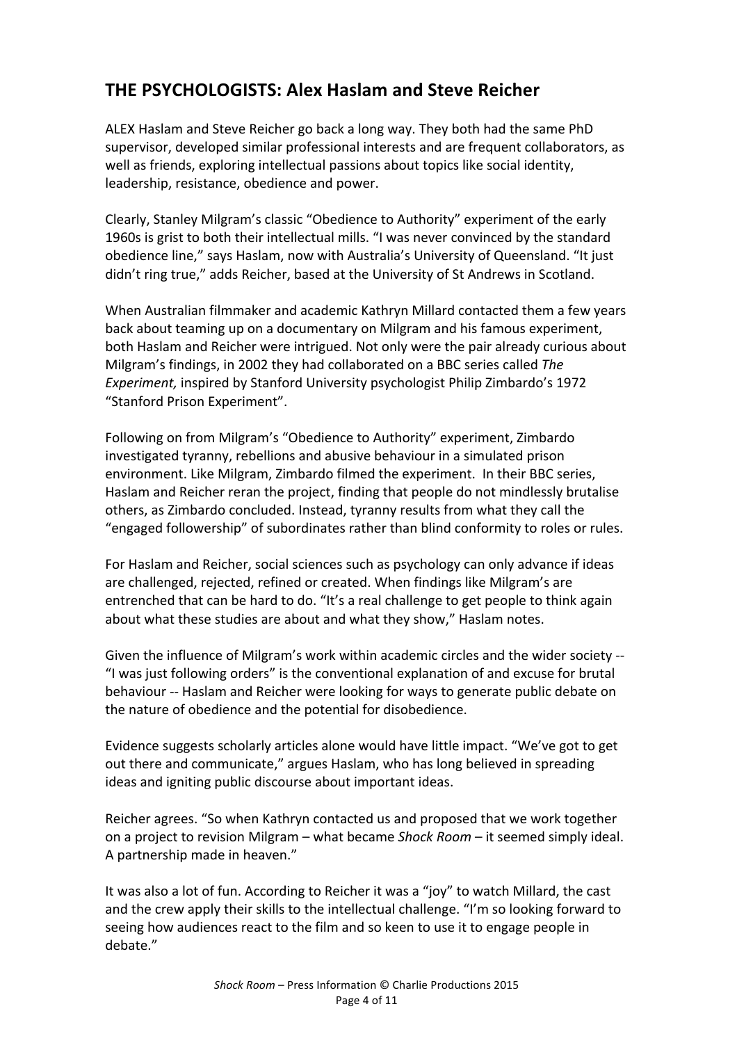# **THE PSYCHOLOGISTS: Alex Haslam and Steve Reicher**

ALEX Haslam and Steve Reicher go back a long way. They both had the same PhD supervisor, developed similar professional interests and are frequent collaborators, as well as friends, exploring intellectual passions about topics like social identity, leadership, resistance, obedience and power.

Clearly, Stanley Milgram's classic "Obedience to Authority" experiment of the early 1960s is grist to both their intellectual mills. "I was never convinced by the standard obedience line," says Haslam, now with Australia's University of Queensland. "It just didn't ring true," adds Reicher, based at the University of St Andrews in Scotland.

When Australian filmmaker and academic Kathryn Millard contacted them a few years back about teaming up on a documentary on Milgram and his famous experiment, both Haslam and Reicher were intrigued. Not only were the pair already curious about Milgram's findings, in 2002 they had collaborated on a BBC series called *The Experiment,* inspired by Stanford University psychologist Philip Zimbardo's 1972 "Stanford Prison Experiment".

Following on from Milgram's "Obedience to Authority" experiment, Zimbardo investigated tyranny, rebellions and abusive behaviour in a simulated prison environment. Like Milgram, Zimbardo filmed the experiment. In their BBC series, Haslam and Reicher reran the project, finding that people do not mindlessly brutalise others, as Zimbardo concluded. Instead, tyranny results from what they call the "engaged followership" of subordinates rather than blind conformity to roles or rules.

For Haslam and Reicher, social sciences such as psychology can only advance if ideas are challenged, rejected, refined or created. When findings like Milgram's are entrenched that can be hard to do. "It's a real challenge to get people to think again about what these studies are about and what they show," Haslam notes.

Given the influence of Milgram's work within academic circles and the wider society --"I was just following orders" is the conventional explanation of and excuse for brutal behaviour -- Haslam and Reicher were looking for ways to generate public debate on the nature of obedience and the potential for disobedience.

Evidence suggests scholarly articles alone would have little impact. "We've got to get out there and communicate," argues Haslam, who has long believed in spreading ideas and igniting public discourse about important ideas.

Reicher agrees. "So when Kathryn contacted us and proposed that we work together on a project to revision Milgram – what became *Shock Room* – it seemed simply ideal. A partnership made in heaven."

It was also a lot of fun. According to Reicher it was a "joy" to watch Millard, the cast and the crew apply their skills to the intellectual challenge. "I'm so looking forward to seeing how audiences react to the film and so keen to use it to engage people in debate."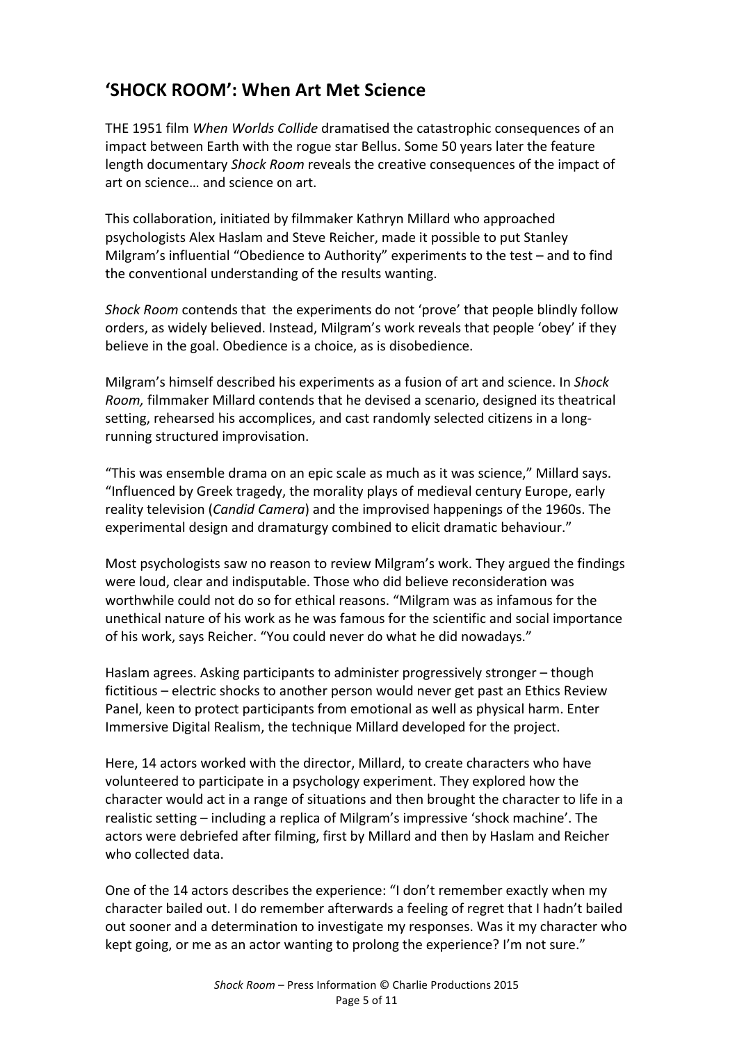# **'SHOCK ROOM': When Art Met Science**

THE 1951 film *When Worlds Collide* dramatised the catastrophic consequences of an impact between Earth with the rogue star Bellus. Some 50 years later the feature length documentary *Shock Room* reveals the creative consequences of the impact of art on science... and science on art.

This collaboration, initiated by filmmaker Kathryn Millard who approached psychologists Alex Haslam and Steve Reicher, made it possible to put Stanley Milgram's influential "Obedience to Authority" experiments to the test  $-$  and to find the conventional understanding of the results wanting.

*Shock Room* contends that the experiments do not 'prove' that people blindly follow orders, as widely believed. Instead, Milgram's work reveals that people 'obey' if they believe in the goal. Obedience is a choice, as is disobedience.

Milgram's himself described his experiments as a fusion of art and science. In *Shock Room,* filmmaker Millard contends that he devised a scenario, designed its theatrical setting, rehearsed his accomplices, and cast randomly selected citizens in a longrunning structured improvisation.

"This was ensemble drama on an epic scale as much as it was science," Millard says. "Influenced by Greek tragedy, the morality plays of medieval century Europe, early reality television (*Candid Camera*) and the improvised happenings of the 1960s. The experimental design and dramaturgy combined to elicit dramatic behaviour."

Most psychologists saw no reason to review Milgram's work. They argued the findings were loud, clear and indisputable. Those who did believe reconsideration was worthwhile could not do so for ethical reasons. "Milgram was as infamous for the unethical nature of his work as he was famous for the scientific and social importance of his work, says Reicher. "You could never do what he did nowadays."

Haslam agrees. Asking participants to administer progressively stronger – though fictitious – electric shocks to another person would never get past an Ethics Review Panel, keen to protect participants from emotional as well as physical harm. Enter Immersive Digital Realism, the technique Millard developed for the project.

Here, 14 actors worked with the director, Millard, to create characters who have volunteered to participate in a psychology experiment. They explored how the character would act in a range of situations and then brought the character to life in a realistic setting – including a replica of Milgram's impressive 'shock machine'. The actors were debriefed after filming, first by Millard and then by Haslam and Reicher who collected data.

One of the 14 actors describes the experience: "I don't remember exactly when my character bailed out. I do remember afterwards a feeling of regret that I hadn't bailed out sooner and a determination to investigate my responses. Was it my character who kept going, or me as an actor wanting to prolong the experience? I'm not sure."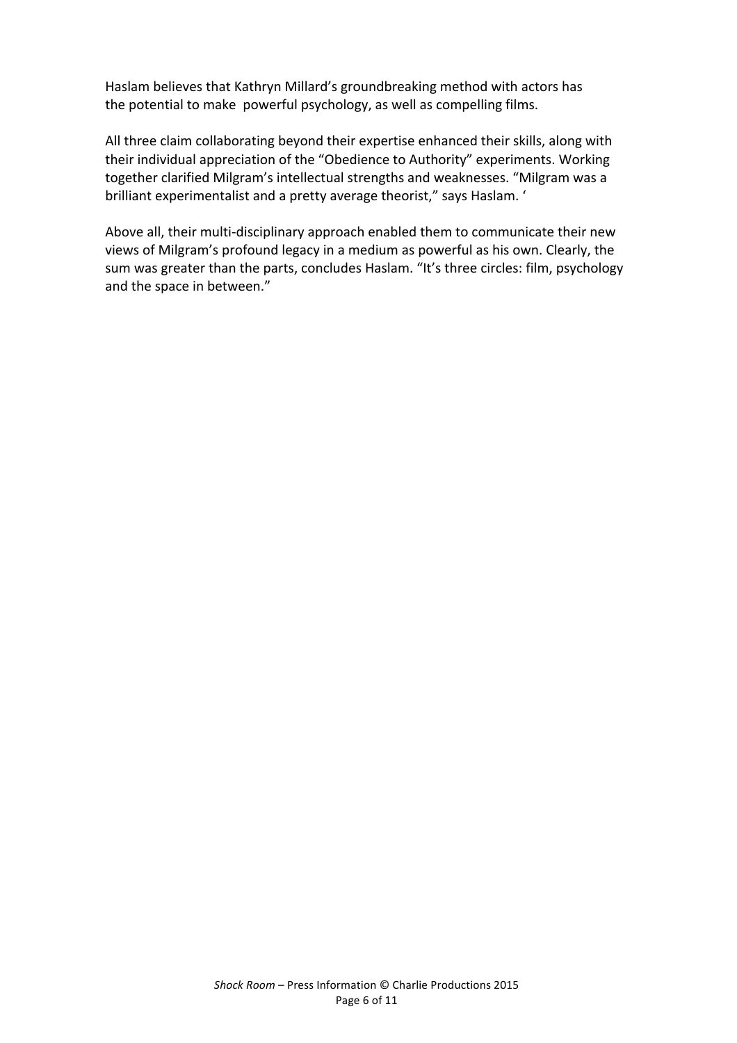Haslam believes that Kathryn Millard's groundbreaking method with actors has the potential to make powerful psychology, as well as compelling films.

All three claim collaborating beyond their expertise enhanced their skills, along with their individual appreciation of the "Obedience to Authority" experiments. Working together clarified Milgram's intellectual strengths and weaknesses. "Milgram was a brilliant experimentalist and a pretty average theorist," says Haslam. '

Above all, their multi-disciplinary approach enabled them to communicate their new views of Milgram's profound legacy in a medium as powerful as his own. Clearly, the sum was greater than the parts, concludes Haslam. "It's three circles: film, psychology and the space in between."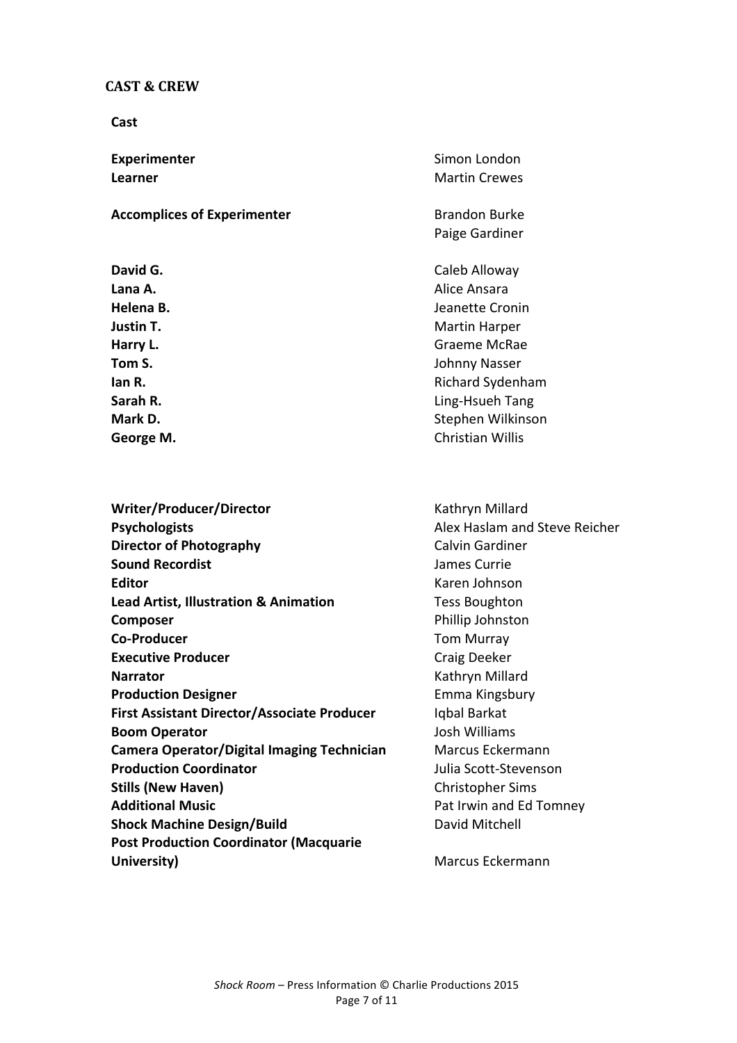#### **CAST & CREW**

**Cast**

**Accomplices of Experimenter** Brandon Burke

**Writer/Producer/Director** Millard **Psychologists Alex Haslam and Steve Reicher Director of Photography** Calvin Gardiner **Sound Recordist Sound Recordist James Currie Editor** Karen Johnson **Lead Artist, Illustration & Animation** Tess Boughton **Composer** Phillip Johnston **Co-Producer** Tom Murray **Executive Producer Craig Deeker Narrator** Kathryn Millard **Production Designer Emma Kingsbury First Assistant Director/Associate Producer** Iqbal Barkat **Boom Operator Boom Operator COLLECT ACCOUNTS Camera Operator/Digital Imaging Technician** Marcus Eckermann **Production Coordinator Coordinator Julia** Scott-Stevenson **Stills (New Haven)** Christopher Sims **Additional Music Additional Music Pat Irwin and Ed Tomney Shock Machine Design/Build** David Mitchell **Post Production Coordinator (Macquarie University)** Marcus Eckermann

**Experimenter** Simon London **Learner** Martin Crewes

Paige Gardiner

**David G.** Caleb Alloway Lana A. **Alice Ansara Helena B. Jeanette Cronin Justin T.** Martin Harper **Harry L.** Graeme McRae **Tom S.** Johnny Nasser **Ian R. Ian R. Ian R. Ian R. Ian R. Ian R. Ian R. Ian R. Ian R. Ian R. Ian R. Ian R. Ian R. Ian R. Ian R. Ian R. Ian R. Ian R. Ian R. Ian R. Ian R. Ian R. Ian R. Ian R. Ian R Sarah R.** Ling-Hsueh Tang **Mark D.** Stephen Wilkinson George M. **Christian Willis**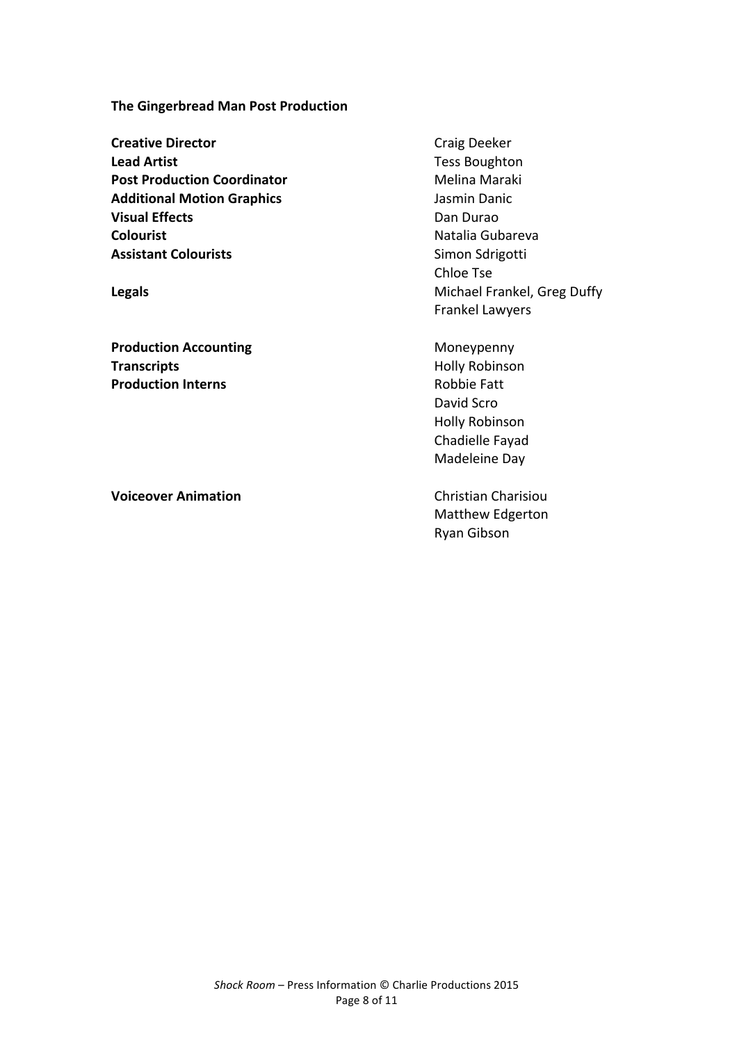**The Gingerbread Man Post Production** 

**Creative Director** Craig Deeker **Lead Artist Tess Boughton Post Production Coordinator** Melina Maraki **Additional Motion Graphics Additional Motion Graphics** Jasmin Danic **Visual Effects Dan Durao** Dan Durao **Colourist Colourist Natalia** Gubareva **Assistant Colourists Colourists** Simon Sdrigotti

**Production Accounting Moneypenny** Moneypenny **Transcripts Holly Robinson Production Interns Robbie Fatt** 

**Voiceover Animation** Christian Charisiou

Chloe Tse **Legals Legals Contract Contract Contract Contract Contract Contract Contract Contract Contract Contract Contract Contract Contract Contract Contract Contract Contract Contract Contract Contract Contract Contract Contr** Frankel Lawyers

> David Scro Holly Robinson Chadielle Fayad Madeleine Day

Matthew Edgerton Ryan Gibson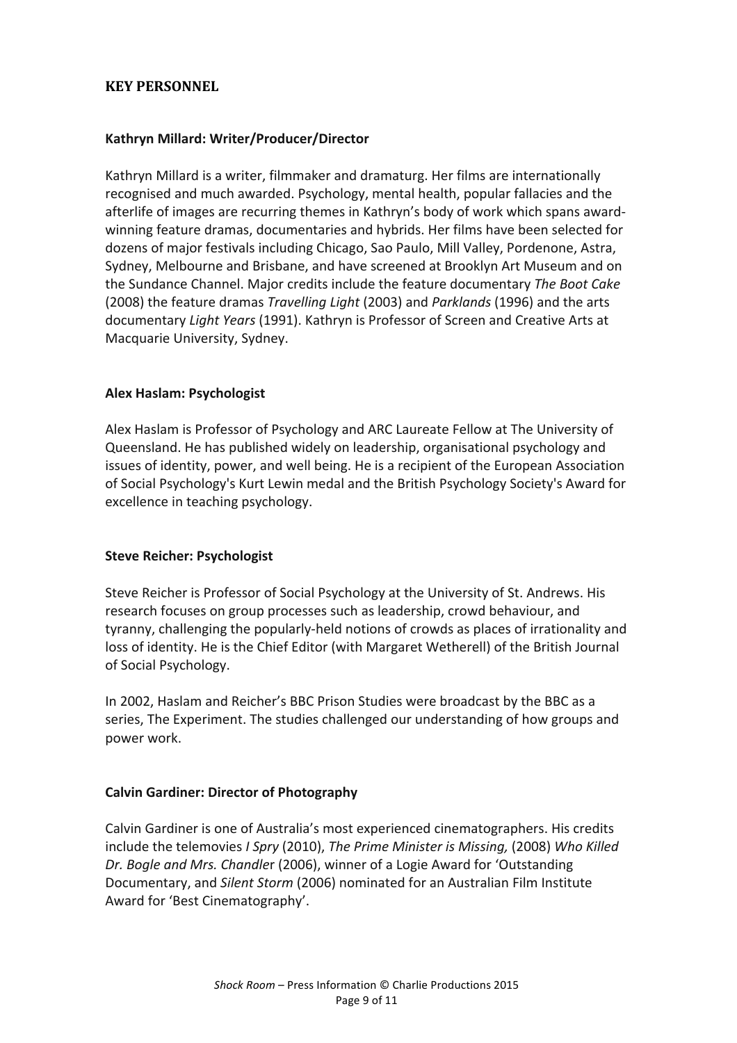# **KEY PERSONNEL**

#### **Kathryn Millard: Writer/Producer/Director**

Kathryn Millard is a writer, filmmaker and dramaturg. Her films are internationally recognised and much awarded. Psychology, mental health, popular fallacies and the afterlife of images are recurring themes in Kathryn's body of work which spans awardwinning feature dramas, documentaries and hybrids. Her films have been selected for dozens of major festivals including Chicago, Sao Paulo, Mill Valley, Pordenone, Astra, Sydney, Melbourne and Brisbane, and have screened at Brooklyn Art Museum and on the Sundance Channel. Major credits include the feature documentary The Boot Cake (2008) the feature dramas *Travelling Light* (2003) and *Parklands* (1996) and the arts documentary *Light Years* (1991). Kathryn is Professor of Screen and Creative Arts at Macquarie University, Sydney.

#### **Alex Haslam: Psychologist**

Alex Haslam is Professor of Psychology and ARC Laureate Fellow at The University of Queensland. He has published widely on leadership, organisational psychology and issues of identity, power, and well being. He is a recipient of the European Association of Social Psychology's Kurt Lewin medal and the British Psychology Society's Award for excellence in teaching psychology.

#### **Steve Reicher: Psychologist**

Steve Reicher is Professor of Social Psychology at the University of St. Andrews. His research focuses on group processes such as leadership, crowd behaviour, and tyranny, challenging the popularly-held notions of crowds as places of irrationality and loss of identity. He is the Chief Editor (with Margaret Wetherell) of the British Journal of Social Psychology.

In 2002, Haslam and Reicher's BBC Prison Studies were broadcast by the BBC as a series, The Experiment. The studies challenged our understanding of how groups and power work.

#### **Calvin Gardiner: Director of Photography**

Calvin Gardiner is one of Australia's most experienced cinematographers. His credits include the telemovies *I Spry* (2010), *The Prime Minister is Missing,* (2008) *Who Killed* Dr. Bogle and Mrs. Chandler (2006), winner of a Logie Award for 'Outstanding Documentary, and *Silent Storm* (2006) nominated for an Australian Film Institute Award for 'Best Cinematography'.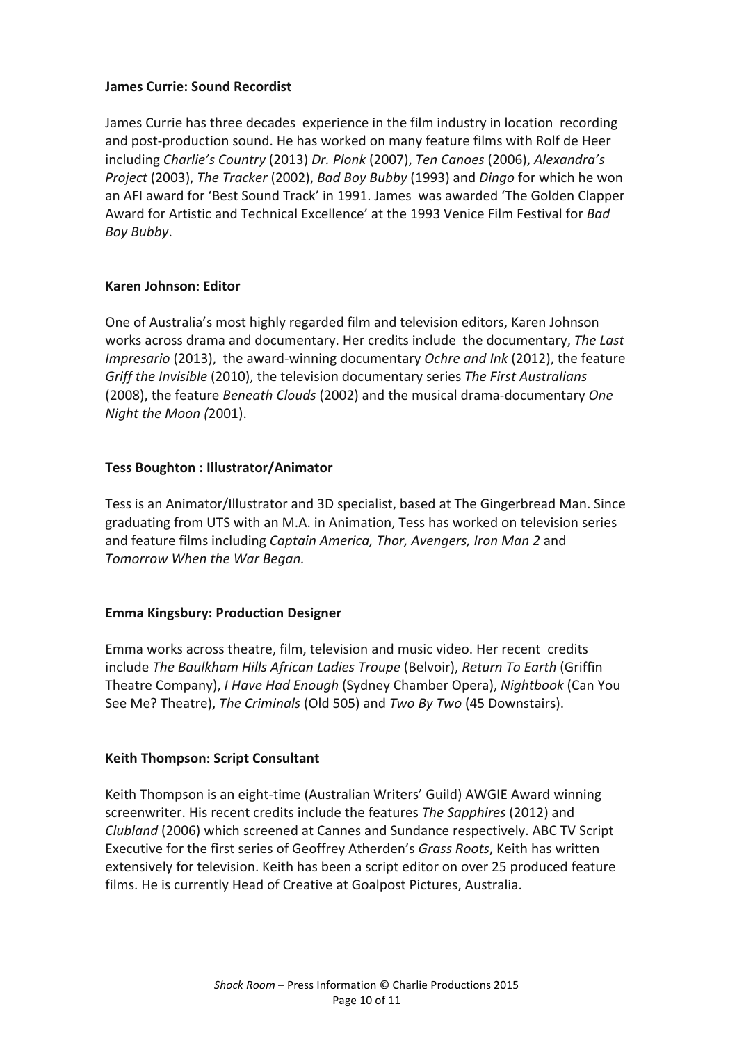#### **James Currie: Sound Recordist**

James Currie has three decades experience in the film industry in location recording and post-production sound. He has worked on many feature films with Rolf de Heer including *Charlie's Country* (2013) *Dr. Plonk* (2007), *Ten Canoes* (2006), *Alexandra's Project* (2003), *The Tracker* (2002), *Bad Boy Bubby* (1993) and *Dingo* for which he won an AFI award for 'Best Sound Track' in 1991. James was awarded 'The Golden Clapper Award for Artistic and Technical Excellence' at the 1993 Venice Film Festival for *Bad Boy Bubby*.

# **Karen Johnson: Editor**

One of Australia's most highly regarded film and television editors, Karen Johnson works across drama and documentary. Her credits include the documentary, *The Last Impresario* (2013), the award-winning documentary *Ochre and Ink* (2012), the feature *Griff the Invisible* (2010), the television documentary series The First Australians (2008), the feature *Beneath Clouds* (2002) and the musical drama-documentary One *Night the Moon (2001).* 

# **Tess Boughton : Illustrator/Animator**

Tess is an Animator/Illustrator and 3D specialist, based at The Gingerbread Man. Since graduating from UTS with an M.A. in Animation, Tess has worked on television series and feature films including *Captain America, Thor, Avengers, Iron Man 2* and *Tomorrow When the War Began.*

#### **Emma Kingsbury: Production Designer**

Emma works across theatre, film, television and music video. Her recent credits include *The Baulkham Hills African Ladies Troupe* (Belvoir), *Return To Earth* (Griffin Theatre Company), *I Have Had Enough* (Sydney Chamber Opera), *Nightbook* (Can You See Me? Theatre), *The Criminals* (Old 505) and *Two By Two* (45 Downstairs).

#### **Keith Thompson: Script Consultant**

Keith Thompson is an eight-time (Australian Writers' Guild) AWGIE Award winning screenwriter. His recent credits include the features *The Sapphires* (2012) and *Clubland* (2006) which screened at Cannes and Sundance respectively. ABC TV Script Executive for the first series of Geoffrey Atherden's *Grass Roots*, Keith has written extensively for television. Keith has been a script editor on over 25 produced feature films. He is currently Head of Creative at Goalpost Pictures, Australia.